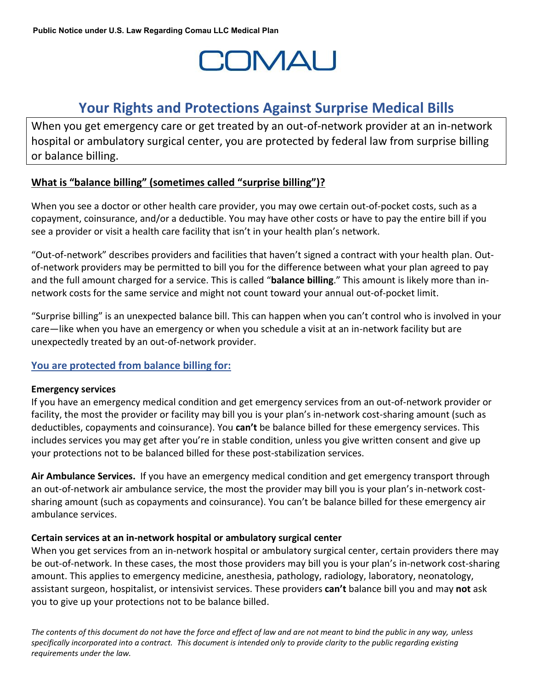# **COMAU**

# **Your Rights and Protections Against Surprise Medical Bills**

When you get emergency care or get treated by an out-of-network provider at an in-network hospital or ambulatory surgical center, you are protected by federal law from surprise billing or balance billing.

# **What is "balance billing" (sometimes called "surprise billing")?**

When you see a doctor or other health care provider, you may owe certain out-of-pocket costs, such as a copayment, coinsurance, and/or a deductible. You may have other costs or have to pay the entire bill if you see a provider or visit a health care facility that isn't in your health plan's network.

"Out-of-network" describes providers and facilities that haven't signed a contract with your health plan. Outof-network providers may be permitted to bill you for the difference between what your plan agreed to pay and the full amount charged for a service. This is called "**balance billing**." This amount is likely more than innetwork costs for the same service and might not count toward your annual out-of-pocket limit.

"Surprise billing" is an unexpected balance bill. This can happen when you can't control who is involved in your care—like when you have an emergency or when you schedule a visit at an in-network facility but are unexpectedly treated by an out-of-network provider.

## **You are protected from balance billing for:**

#### **Emergency services**

If you have an emergency medical condition and get emergency services from an out-of-network provider or facility, the most the provider or facility may bill you is your plan's in-network cost-sharing amount (such as deductibles, copayments and coinsurance). You **can't** be balance billed for these emergency services. This includes services you may get after you're in stable condition, unless you give written consent and give up your protections not to be balanced billed for these post-stabilization services.

**Air Ambulance Services.** If you have an emergency medical condition and get emergency transport through an out-of-network air ambulance service, the most the provider may bill you is your plan's in-network costsharing amount (such as copayments and coinsurance). You can't be balance billed for these emergency air ambulance services.

## **Certain services at an in-network hospital or ambulatory surgical center**

When you get services from an in-network hospital or ambulatory surgical center, certain providers there may be out-of-network. In these cases, the most those providers may bill you is your plan's in-network cost-sharing amount. This applies to emergency medicine, anesthesia, pathology, radiology, laboratory, neonatology, assistant surgeon, hospitalist, or intensivist services. These providers **can't** balance bill you and may **not** ask you to give up your protections not to be balance billed.

*The contents of this document do not have the force and effect of law and are not meant to bind the public in any way, unless specifically incorporated into a contract. This document is intended only to provide clarity to the public regarding existing requirements under the law.*